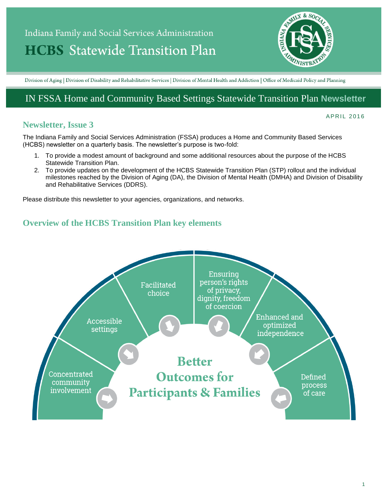# Indiana Family and Social Services Administration **HCBS** Statewide Transition Plan



Division of Aging | Division of Disability and Rehabilitative Services | Division of Mental Health and Addiction | Office of Medicaid Policy and Planning

# IN FSSA Home and Community Based Settings Statewide Transition Plan **Newsletter**

## **Newsletter, Issue 3**

#### A P R I L 2016

The Indiana Family and Social Services Administration (FSSA) produces a Home and Community Based Services (HCBS) newsletter on a quarterly basis. The newsletter's purpose is two-fold:

- 1. To provide a modest amount of background and some additional resources about the purpose of the HCBS Statewide Transition Plan.
- 2. To provide updates on the development of the HCBS Statewide Transition Plan (STP) rollout and the individual milestones reached by the Division of Aging (DA), the Division of Mental Health (DMHA) and Division of Disability and Rehabilitative Services (DDRS).

Please distribute this newsletter to your agencies, organizations, and networks.

## **Overview of the HCBS Transition Plan key elements**

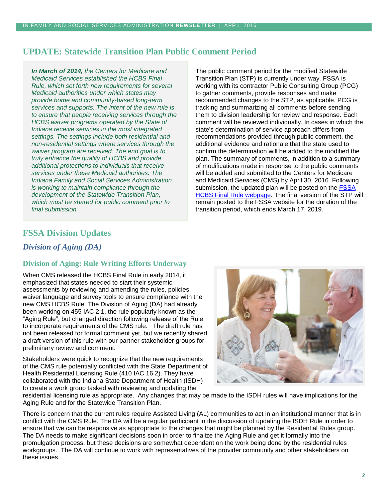# **UPDATE: Statewide Transition Plan Public Comment Period**

*In March of 2014, the Centers for Medicare and Medicaid Services established the HCBS Final Rule, which set forth new requirements for several Medicaid authorities under which states may provide home and community-based long-term services and supports. The intent of the new rule is to ensure that people receiving services through the HCBS waiver programs operated by the State of Indiana receive services in the most integrated settings. The settings include both residential and non-residential settings where services through the waiver program are received. The end goal is to truly enhance the quality of HCBS and provide additional protections to individuals that receive services under these Medicaid authorities. The Indiana Family and Social Services Administration is working to maintain compliance through the development of the Statewide Transition Plan, which must be shared for public comment prior to final submission.*

The public comment period for the modified Statewide Transition Plan (STP) is currently under way. FSSA is working with its contractor Public Consulting Group (PCG) to gather comments, provide responses and make recommended changes to the STP, as applicable. PCG is tracking and summarizing all comments before sending them to division leadership for review and response. Each comment will be reviewed individually. In cases in which the state's determination of service approach differs from recommendations provided through public comment, the additional evidence and rationale that the state used to confirm the determination will be added to the modified the plan. The summary of comments, in addition to a summary of modifications made in response to the public comments will be added and submitted to the Centers for Medicare and Medicaid Services (CMS) by April 30, 2016. Following submission, the updated plan will be posted on the **FSSA** [HCBS Final Rule webpage.](https://secure.in.gov/fssa/4917.htm) The final version of the STP will remain posted to the FSSA website for the duration of the transition period, which ends March 17, 2019.

# **FSSA Division Updates**

## *Division of Aging (DA)*

## **Division of Aging: Rule Writing Efforts Underway**

When CMS released the HCBS Final Rule in early 2014, it emphasized that states needed to start their systemic assessments by reviewing and amending the rules, policies, waiver language and survey tools to ensure compliance with the new CMS HCBS Rule. The Division of Aging (DA) had already been working on 455 IAC 2.1, the rule popularly known as the "Aging Rule", but changed direction following release of the Rule to incorporate requirements of the CMS rule. The draft rule has not been released for formal comment yet, but we recently shared a draft version of this rule with our partner stakeholder groups for preliminary review and comment.

Stakeholders were quick to recognize that the new requirements of the CMS rule potentially conflicted with the State Department of Health Residential Licensing Rule (410 IAC 16.2). They have collaborated with the Indiana State Department of Health (ISDH) to create a work group tasked with reviewing and updating the



residential licensing rule as appropriate. Any changes that may be made to the ISDH rules will have implications for the Aging Rule and for the Statewide Transition Plan.

There is concern that the current rules require Assisted Living (AL) communities to act in an institutional manner that is in conflict with the CMS Rule. The DA will be a regular participant in the discussion of updating the ISDH Rule in order to ensure that we can be responsive as appropriate to the changes that might be planned by the Residential Rules group. The DA needs to make significant decisions soon in order to finalize the Aging Rule and get it formally into the promulgation process, but these decisions are somewhat dependent on the work being done by the residential rules workgroups. The DA will continue to work with representatives of the provider community and other stakeholders on these issues.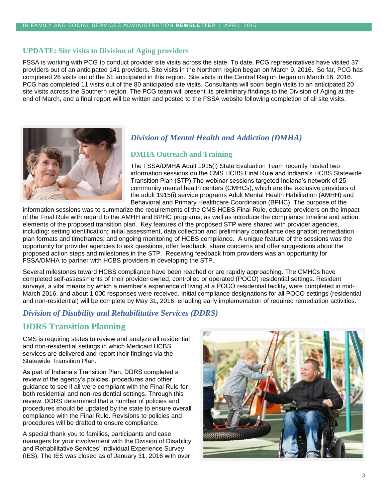#### **UPDATE: Site visits to Division of Aging providers**

FSSA is working with PCG to conduct provider site visits across the state. To date, PCG representatives have visited 37 providers out of an anticipated 141 providers. Site visits in the Northern region began on March 9, 2016. So far, PCG has completed 26 visits out of the 61 anticipated in this region. Site visits in the Central Region began on March 16, 2016. PCG has completed 11 visits out of the 80 anticipated site visits. Consultants will soon begin visits to an anticipated 20 site visits across the Southern region. The PCG team will present its preliminary findings to the Division of Aging at the end of March, and a final report will be written and posted to the FSSA website following completion of all site visits.



## *Division of Mental Health and Addiction (DMHA)*

#### **DMHA Outreach and Training**

The FSSA/DMHA Adult 1915(i) State Evaluation Team recently hosted two information sessions on the CMS HCBS Final Rule and Indiana's HCBS Statewide Transition Plan (STP).The webinar sessions targeted Indiana's network of 25 community mental health centers (CMHCs), which are the exclusive providers of the adult 1915(i) service programs Adult Mental Health Habilitation (AMHH) and Behavioral and Primary Healthcare Coordination (BPHC). The purpose of the

information sessions was to summarize the requirements of the CMS HCBS Final Rule, educate providers on the impact of the Final Rule with regard to the AMHH and BPHC programs, as well as introduce the compliance timeline and action elements of the proposed transition plan. Key features of the proposed STP were shared with provider agencies, including: setting identification; initial assessment, data collection and preliminary compliance designation; remediation plan formats and timeframes; and ongoing monitoring of HCBS compliance. A unique feature of the sessions was the opportunity for provider agencies to ask questions, offer feedback, share concerns and offer suggestions about the proposed action steps and milestones in the STP. Receiving feedback from providers was an opportunity for FSSA/DMHA to partner with HCBS providers in developing the STP.

Several milestones toward HCBS compliance have been reached or are rapidly approaching. The CMHCs have completed self-assessments of their provider owned, controlled or operated (POCO) residential settings. Resident surveys, a vital means by which a member's experience of living at a POCO residential facility, were completed in mid-March 2016, and about 1,000 responses were received. Initial compliance designations for all POCO settings (residential and non-residential) will be complete by May 31, 2016, enabling early implementation of required remediation activities.

#### *Division of Disability and Rehabilitative Services (DDRS)*

## **DDRS Transition Planning**

CMS is requiring states to review and analyze all residential and non-residential settings in which Medicaid HCBS services are delivered and report their findings via the Statewide Transition Plan.

As part of Indiana's Transition Plan, DDRS completed a review of the agency's policies, procedures and other guidance to see if all were compliant with the Final Rule for both residential and non-residential settings. Through this review, DDRS determined that a number of policies and procedures should be updated by the state to ensure overall compliance with the Final Rule. Revisions to policies and procedures will be drafted to ensure compliance.

A special thank you to families, participants and case managers for your involvement with the Division of Disability and Rehabilitative Services' Individual Experience Survey (IES). The IES was closed as of January 31, 2016 with over